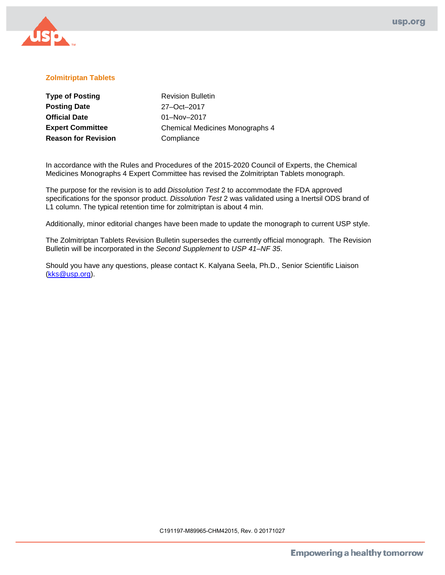

## **Zolmitriptan Tablets**

| <b>Type of Posting</b>     | <b>Revision Bulletin</b>               |
|----------------------------|----------------------------------------|
| <b>Posting Date</b>        | 27-Oct-2017                            |
| <b>Official Date</b>       | $01 - Nov - 2017$                      |
| <b>Expert Committee</b>    | <b>Chemical Medicines Monographs 4</b> |
| <b>Reason for Revision</b> | Compliance                             |

In accordance with the Rules and Procedures of the 2015-2020 Council of Experts, the Chemical Medicines Monographs 4 Expert Committee has revised the Zolmitriptan Tablets monograph.

The purpose for the revision is to add *Dissolution Test* 2 to accommodate the FDA approved specifications for the sponsor product. *Dissolution Test* 2 was validated using a Inertsil ODS brand of L1 column. The typical retention time for zolmitriptan is about 4 min.

Additionally, minor editorial changes have been made to update the monograph to current USP style.

The Zolmitriptan Tablets Revision Bulletin supersedes the currently official monograph. The Revision Bulletin will be incorporated in the *Second Supplement* to *USP 41–NF 35*.

Should you have any questions, please contact K. Kalyana Seela, Ph.D., Senior Scientific Liaison [\(kks@usp.org\)](mailto:kks@usp.org).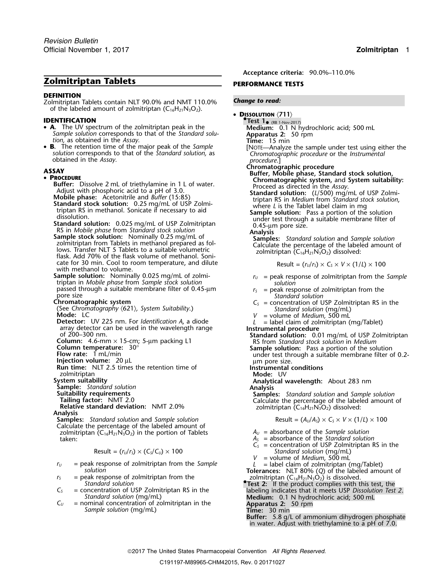# **Zolmitriptan Tablets PERFORMANCE TESTS**

### **DEFINITION**

Zolmitriptan Tablets contain NLT 90.0% and NMT 110.0% *Change to read:* of the labeled amount of zolmitriptan  $(C_{16}H_{21}N_3O_2)$ .

- A. The UV spectrum of the zolmitriptan peak in the **A.** The UV spectrum of the zolmitriptan peak in the **Medium:** 0.1 N hydrochloric acid; 500 mL Sample solution corresponds to that of the Standard solu-<br>
form as obtained in the Assay.<br> **Example solution**, as obtained in t
- **B.** The retention time of the major peak of the Sample [NOTE—Analyze the sample under test using either the solution corresponds to that of the Standard solution, as [NOTE—Analyze the sample under test using either the obtained in the *Assay.*<br> **procedure** in the *Assay.*<br> **procedure.**]<br> **procedure.**<br> **c AV**<br> **procedure**<br> **procedure**<br> **procedure**<br> **procedure**<br> **procedure**

**• PROCEDURE**<br> **Buffer:** Dissolve 2 mL of triethylamine in 1 L of water.<br>
Adjust with phosphoric acid to a pH of 3.0.<br>
Adjust with phosphoric acid to a pH of 3.0.<br>
Mobile phase: Acetonitrile and *Buffer* (15:85)<br> **Standar**  $cate$  for 30 min. Cool to room temperature, and dilute with methanol to volume.

**Sample solution:** Nominally 0.025 mg/mL of zolmi-<br> *r*<sub>*U*</sub> = peak response of zolmitriptan from the *Sample*<br> *solution solution* passed through a suitable membrane filter of 0.45-µm *r<sub>S</sub>* = peak response of zolmitriptan from the pore size

(See Chromatography  $\langle 621 \rangle$ , System Suitability.)<br> **Mode:** LC<br> **Detector:** UV 225 nm. For *Identification A*, a diode<br>  $V =$  volume of *Medium*, 500 mL<br>  $L =$  label claim of zolmitriptan (

**Detector:** UV 225 nm. For *Identification <sup>A</sup>*, a diode *<sup>L</sup>* = label claim of zolmitriptan (mg/Tablet)

zolmitriptan **Mode:** UV

**Samples:** Standard solution and Sample solution Calculate the percentage of the labeled amount of zolmitriptan  $(C_{16}H_{21}N_3O_2)$  in the portion of Tablets  $A_U =$  absorbance of the *Sample solution* taken:  $A_S$  = absorbance of the *Standard solution*<br>taken:  $A_S$  = absorbance of the *Standard solution*<br> $C_S$  = concentration of USP Zolmitriptan R

$$
Result = (r_U/r_S) \times (C_S/C_U) \times 100
$$

- *r*<sub>*U*</sub> = peak response of zolmitriptan from the *Sample L* = label claim of zolmitriptan (mg/Tablet) *solution* **Tolerances:** NLT 80% (*Q*) of the labeled amount of *r*<sub>*s*</sub> = peak response of zolmitriptan from the **T**
- *<sup>r</sup><sup>S</sup>* = peak response of zolmitriptan from the zolmitriptan (C16H21N3O2) is dissolved. *Standard solution* **•**
- $C_5$  = concentration of USP Zolmitriptan RS in the<br>
Standard solution (mg/mL)<br>  $C_U$  = nominal concentration of zolmitriptan in the<br>
Sample solution (mg/mL)<br>
Sample solution (mg/mL)<br>
Time: 30 min<br>
Time: 30 min
- 

**Acceptance criteria:** 90.0%–110.0%

•**D**ISSOLUTION (711)<br> **DENTIFICATION •** DISSOLUTION (711)

**.Test 1**• (RB 1-Nov-2017)

**CHROCEDURE**<br> **CHROCEDURE**<br> **Chromatographic system, and System suitability:**<br> **Chromatographic system, and System suitability:**<br>
Adjust with phosphoric acid to a pH of 3.0<br>
Adjust with phosphoric acid to a pH of 3.0

$$
Result = (rU/rS) \times CS \times V \times (1/L) \times 100
$$

- 
- 
- pore size<br> **Chromatographic system**<br> **C**<sub>S</sub> = concentration of USP Zolmitriptan RS in the
	-
	-

array detector can be used in the wavelength range  $\begin{array}{ll}\n\text{of } 200-300 \text{ nm.} \\
\text{of } 200-300 \text{ nm.} \\
\text{Column:} & 4.6\text{-mm} \times 15\text{-cm; } 5\text{-µm} \text{ packing } L1\n\end{array}$   $\begin{array}{ll}\n\text{Instrumental procedure} \\
\text{Standard solution:} & 0.01 mg/mL \text{ of } USP \text{ Zolmitriptan} \\
\text{R5 from *Standard stock solution*:} \\
\text{$ **Column temperature:**  $30^{\circ}$ <br> **Sample solution:** Pass a portion of the solution<br> **Flow rate:** 1 mL/min<br> **Injection volume:** 20 µL<br> **Run time:** NLT 2.5 times the retention time of<br> **Run time:** NLT 2.5 times the retention

**System suitability**<br> **Sample:** Standard solution<br> **Suitability requirements**<br> **Samples:** Standard solution and Sample **Sample:** Standard solution<br> **Suitability requirements**<br> **Samples:** Standard solution and Sample solution<br> **Relative standard deviation:** NMT 2.0%<br> **Analysis**<br> **Analysis**<br> **Analysis**<br> **Analysis**<br> **Analysis**<br> **Analysis**<br>

$$
Result = (A_U/A_S) \times C_S \times V \times (1/L) \times 100
$$

- 
- 
- = concentration of USP Zolmitriptan RS in the Result = (*<sup>r</sup>U*/*<sup>r</sup>S*) × (*CS*/*CU*) × 100 *Standard solution* (mg/mL)
- 
- *V* = volume of *Medium*, 500 mL<br>*L* = label claim of zolmitriptan (mg/Tablet)

- 
- 

**Time:** 30 min<br>**Buffer:** 5.8 g/L of ammonium dihydrogen phosphate in water. Adjust with triethylamine to a pH of 7.0.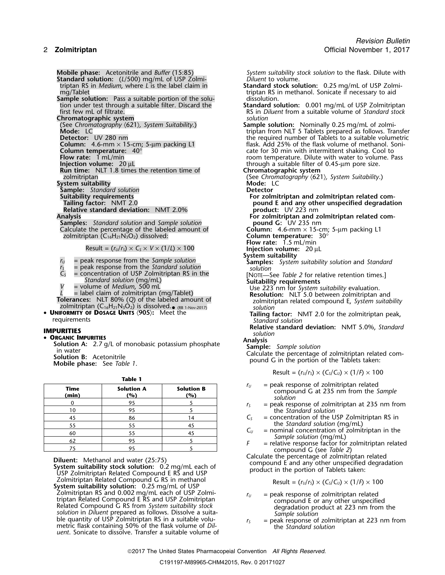**Standard solution:** (*L*/500) mg/mL of USP Zolmi-<br>*triptan RS in Medium, where L is the label claim in* **Sample solution:** Pass a suitable portion of the solution under test through a suitable filter. Discard the **Chromatographic system**<br>(See Chromatography  $(621)$ , System Suitability.) **Sample** (See *Chromatography* 〈621〉*, System Suitability*.) **Sample solution:** Nominally 0.25 mg/mL of zolmi-**Detector:** UV 280 nm<br>**Column:** 4.6-mm × 15-cm; 5-µm packing L1 **Column temperature:**  $40^{\circ}$ <br> **Column temperature:** 1 mL/min **Cool to**<br> **Coolumn intermittent shaking. Cool to**<br> **Coolumn intermittent shaking. Cool to**<br> **Coolumn intermittent shaking. Cool to**<br> **Coolumn intermittent sha Run time:** NLT 1.8 times the retention time of zolmitriptan **System suitability Mode:** L<br> **Sample:** Standard solution **Mode:** Landard solution **Sample:** *Standard solution*<br>**Suitability requirements Relative standard deviation:** NMT 2.0%<br>**Analysis Samples:** *Standard solution* and *Sample solution* **pound G:** UV 235 nm<br>Calculate the percentage of the labeled amount of **Column:** 4.6-mm × 15-cm; 5-µm packing L1 Calculate the percentage of the labeled amount of **Column:** 4.6-mm  $\times$  15-cm; 5-15-cm; 50°<br>50° **Column temperature:** 30° zolmitriptan (C<sub>16</sub>H<sub>21</sub>N<sub>3</sub>O<sub>2</sub>) dissolved:

$$
Result = (r_U/r_S) \times C_S \times V \times (1/L) \times 100
$$

- 
- 
- 
- 

•

### • ORGANIC IMPURITIES

|  | ٠ |  |
|--|---|--|
|--|---|--|

| <b>Time</b><br>(min) | <b>Solution A</b><br>(%) | <b>Solution B</b><br>(%) |  |
|----------------------|--------------------------|--------------------------|--|
|                      | 95                       |                          |  |
| 10                   | 95                       |                          |  |
| 45                   | 86                       | 14                       |  |
| 55                   | 55                       | 45                       |  |
| 60                   | 55                       | 45                       |  |
| 62                   | 95                       |                          |  |
| 75                   | 95                       |                          |  |

Zolmitriptan Related Compound G RS in methanol<br>**System suitability solution:** 0.25 mg/mL of USP<br>Zolmitriptan RS and 0.002 mg/mL each of USP Zolmi- $Zolmitriptan RS and 0.002 mg/mL each of USP Zolmi-  
triptan Related Compound E RS and USP Zolmitriptan  
Related Compound G RS from *System suitability stock*  
solution in *Diluent* prepared as follows. Dissolve a suita-  
ble quantity of USP Zolmitriptan RS in a suitable volume of *Dil-*  
metric flask containing 50% of the flask volume of *Dil-*  
metric$ *uent*. Sonicate to dissolve. Transfer a suitable volume of

**Mobile phase:** Acetonitrile and *Buffer* (15:85) *System suitability stock solution* to the flask. Dilute with triptan RS in *Medium*, where *L* is the label claim in **Standard stock solution:** 0.25 mg/mL of USP Zolmitriptan RS in methanol. Sonicate if necessary to aid dissolution. tion under test through a suitable filter. Discard the **Standard solution:** 0.001 mg/mL of USP Zolmitriptan RS in *Diluent* from a suitable volume of *Standard* stock which the model of triptan from NLT 5 Tablets prepared as follows. Transfer<br>the required number of Tablets to a suitable volumetric **Column:** 4.6-mm × 15-cm; 5-µm packing L1 flask. Add 25% of the flask volume of methanol. Soni-<br>**Column temperature:** 40° room temperature. Dilute with water to volume. Pass through a suitable filter of 0.45-µm pore size.<br>**Chromatographic system** (See Chromatography  $\langle 621 \rangle$ , System Suitability.)<br>Mode: LC **Suitability requirements For zolmitriptan and zolmitriptan related com-Pound E and any other unspecified degradation product:** UV 223 nm For zolmitriptan and zolmitriptan related com-<br>pound G: UV 235 nm **Flow rate:** 1.5 mL/min **Injection volume:** 20 µL **System suitability**<br>**Samples:** System suitability solution and Standard *<sup>r</sup><sup>U</sup>* = peak response from the *Sample solution* **Samples:** *System suitability solution* and *Standard <sup>r</sup><sup>S</sup>* = peak response from the *Standard solution solution*  $V =$  peak response from the *Standard solution*<br>  $V =$  concentration of USP Zolmitriptan RS in the<br>  $V =$  solution (mg/mL)<br>  $V =$  solution (mg/mL)<br>  $V =$  label claim of zolmitriptan (mg/Tablet)<br>  $V =$  label claim of zolmitript *L* = label claim of zolmitriptan (mg/Tablet)<br> **Resolution:** NLT<sup>'</sup>5.0 between zolmitriptan and<br> **Tolerances:** NLT 80% (Q) of the labeled amount of<br>
zolmitriptan related compound E, System suitability<br> **PUNIFORMITY OF DOS UNIFORMITY OF DOSAGE UNITS** (905): Meet the **Standard Solution** Tailing factor: NMT 2.0 for the zolmitriptan peak, requirements **Relative standard deviation:** NMT 5.0%, *Standard* **IMPURITIES** *solution* • **ORGANIC IMPURITIES**<br>
Solution A: 2.7 g/L of monobasic potassium phosphate<br>
in water<br>
Solution B: Acetonitrile<br>
Solution B: Acetonitrile<br>
Mobile phase: See Table 1.<br>
Mobile phase: See Table 1. Result =  $(r_U/r_S) \times (C_S/C_U) \times (1/F) \times 100$ 

- *r*<sub>*U*</sub> = peak response of zolmitriptan related compound G at 235 nm from the *Sample solution*
- $r<sub>S</sub>$  = peak response of zolmitriptan at 235 nm from 10 95 5 the *Standard solution*
- $C<sub>S</sub>$  = concentration of the USP Zolmitriptan RS in
- the *Standard solution* (mg/mL)<br> $C_U$  = nominal concentration of zolmitriptan in the
- *C* = relative response factor for zolmitriptan related<br>
compound G (see *Table 2*)<br>
Calculate the percentage of zolmitriptan related

**Diluent:** Methanol and water (25:75)<br>System suitability stock solution: 0.2 mg/mL each of<br>USP Zolmitriptan Related Compound E RS and USP<br>USP Zolmitriptan Related Compound E RS and USP

$$
Result = (rU/rS) \times (CS/CU) \times (1/F) \times 100
$$

- 
- 

2017 The United States Pharmacopeial Convention *All Rights Reserved.*